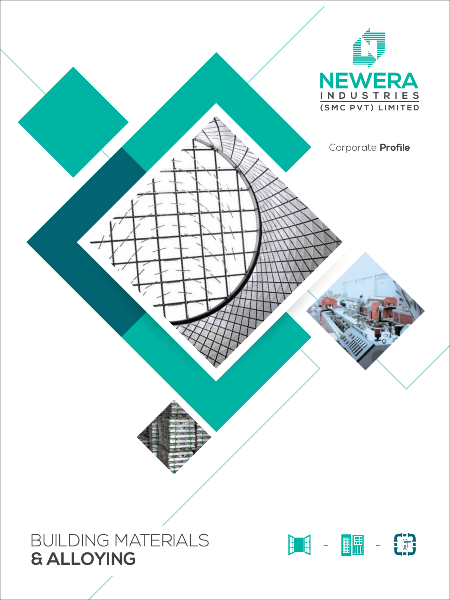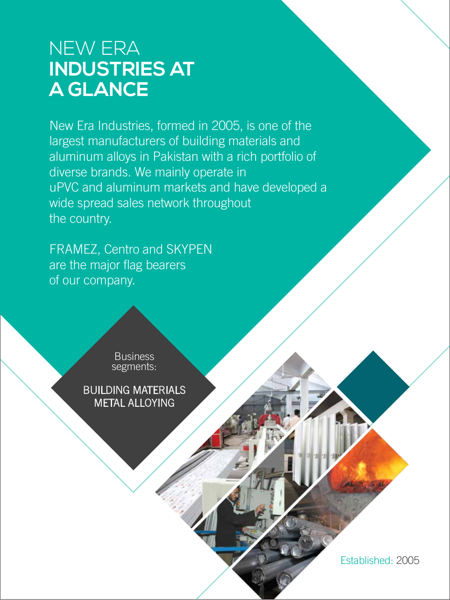### NEW ERA **INDUSTRIES AT A GLANCE**

New Era Industries, formed in 2005, is one of the largest manufacturers of building materials and aluminum alloys in Pakistan with a rich portfolio of diverse brands. We mainly operate in uPVC and aluminum markets and have developed a wide spread sales network throughout the country.

FRAMEZ, Centro and SKYPEN are the major flag bearers of our company.

> **Business** segments:

BUILDING MATERIALS METAL ALLOYING

Established: 2005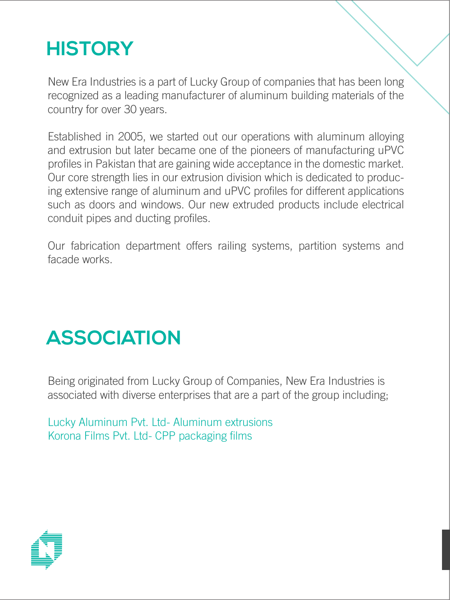# **HISTORY**

New Era Industries is a part of Lucky Group of companies that has been long recognized as a leading manufacturer of aluminum building materials of the country for over 30 years.

Established in 2005, we started out our operations with aluminum alloying and extrusion but later became one of the pioneers of manufacturing uPVC profiles in Pakistan that are gaining wide acceptance in the domestic market. Our core strength lies in our extrusion division which is dedicated to producing extensive range of aluminum and uPVC profiles for different applications such as doors and windows. Our new extruded products include electrical conduit pipes and ducting profiles.

Our fabrication department offers railing systems, partition systems and facade works.

### **ASSOCIATION**

Being originated from Lucky Group of Companies, New Era Industries is associated with diverse enterprises that are a part of the group including;

Lucky Aluminum Pvt. Ltd- Aluminum extrusions Korona Films Pvt. Ltd- CPP packaging films

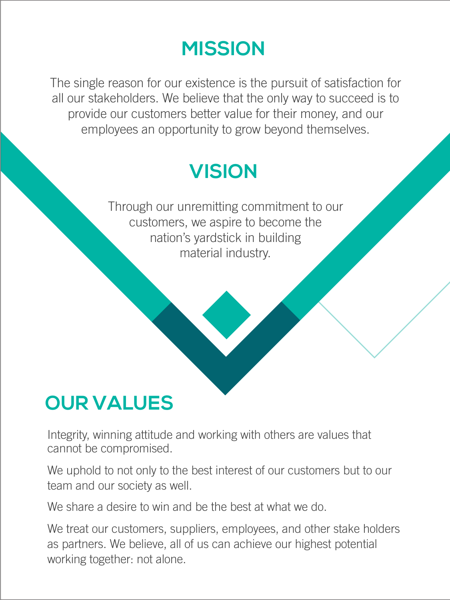### **MISSION**

The single reason for our existence is the pursuit of satisfaction for all our stakeholders. We believe that the only way to succeed is to provide our customers better value for their money, and our employees an opportunity to grow beyond themselves.

## **VISION**

Through our unremitting commitment to our customers, we aspire to become the nation's yardstick in building material industry.

# **OUR VALUES**

Integrity, winning attitude and working with others are values that cannot be compromised.

We uphold to not only to the best interest of our customers but to our team and our society as well.

We share a desire to win and be the best at what we do.

We treat our customers, suppliers, employees, and other stake holders as partners. We believe, all of us can achieve our highest potential working together: not alone.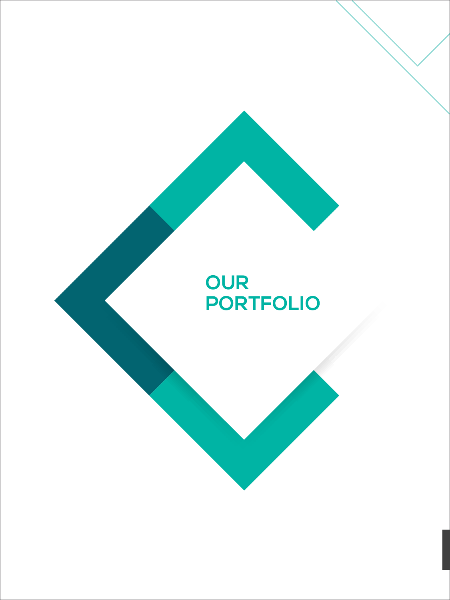### **OUR PORTFOLIO**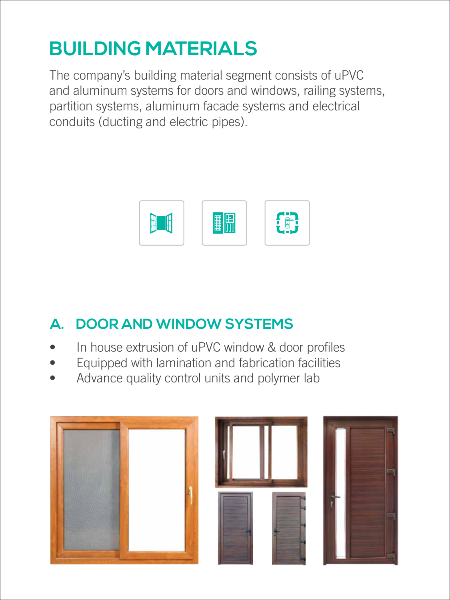# **BUILDING MATERIALS**

The company's building material segment consists of uPVC and aluminum systems for doors and windows, railing systems, partition systems, aluminum facade systems and electrical conduits (ducting and electric pipes).



#### **A. DOOR AND WINDOW SYSTEMS**

- In house extrusion of uPVC window & door profiles
- Equipped with lamination and fabrication facilities
- Advance quality control units and polymer lab





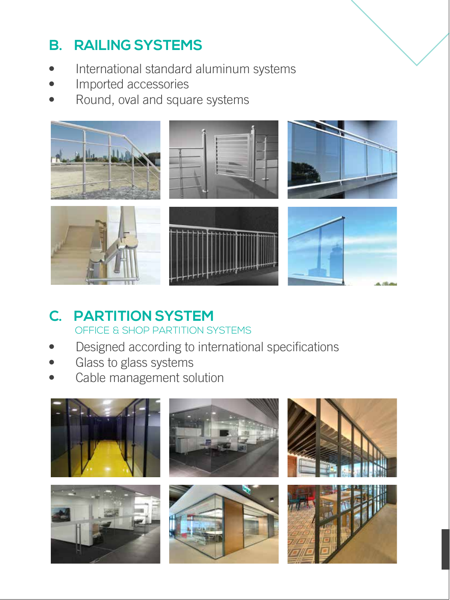#### **B. RAILING SYSTEMS**

- International standard aluminum systems
- Imported accessories
- Round, oval and square systems



#### **C. PARTITION SYSTEM** OFFICE & SHOP PARTITION SYSTEMS

- Designed according to international specifications
- Glass to glass systems
- Cable management solution

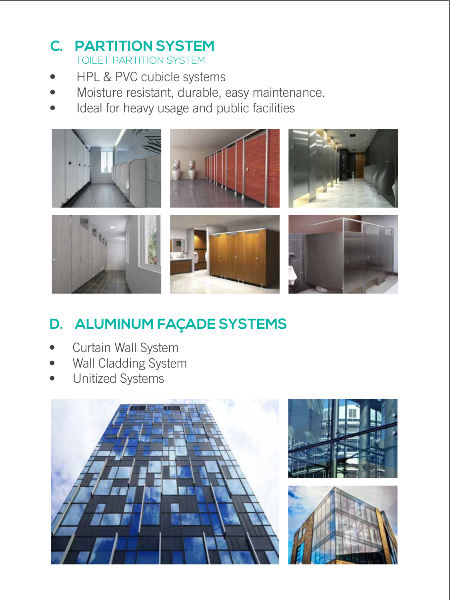#### **C. PARTITION SYSTEM** TOILET PARTITION SYSTEM

- HPL & PVC cubicle systems
- Moisture resistant, durable, easy maintenance.
- Ideal for heavy usage and public facilities



### **D. ALUMINUM FAÇADE SYSTEMS**

- Curtain Wall System
- Wall Cladding System
- Unitized Systems





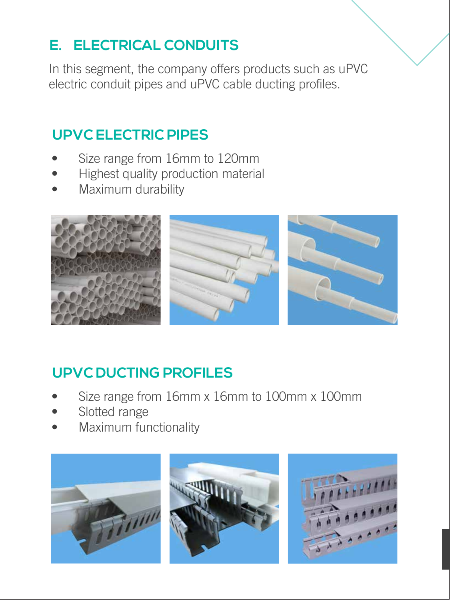#### **E. ELECTRICAL CONDUITS**

In this segment, the company offers products such as uPVC electric conduit pipes and uPVC cable ducting profiles.

#### **UPVC ELECTRIC PIPES**

- Size range from 16mm to 120mm
- Highest quality production material
- Maximum durability



#### **UPVC DUCTING PROFILES**

- Size range from 16mm x 16mm to 100mm x 100mm
- Slotted range
- Maximum functionality





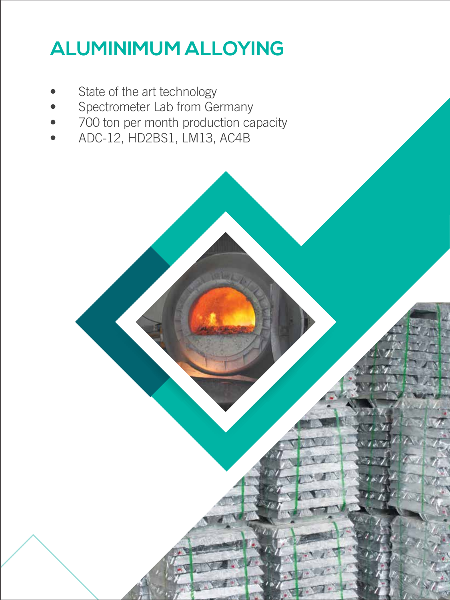# **ALUMINIMUM ALLOYING**

- State of the art technology
- Spectrometer Lab from Germany
- 700 ton per month production capacity
- ADC-12, HD2BS1, LM13, AC4B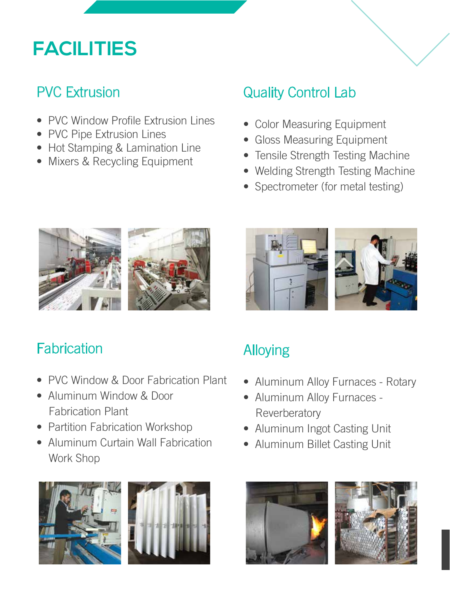### **FACILITIES**

#### PVC Extrusion

- PVC Window Profile Extrusion Lines
- PVC Pipe Extrusion Lines
- Hot Stamping & Lamination Line
- Mixers & Recycling Equipment

### Quality Control Lab

- Color Measuring Equipment
- Gloss Measuring Equipment
- Tensile Strength Testing Machine
- Welding Strength Testing Machine
- Spectrometer (for metal testing)



### **Fabrication**

- PVC Window & Door Fabrication Plant
- Aluminum Window & Door Fabrication Plant
- Partition Fabrication Workshop
- Aluminum Curtain Wall Fabrication Work Shop







### Alloying

- Aluminum Alloy Furnaces Rotary
- Aluminum Alloy Furnaces **Reverberatory**
- Aluminum Ingot Casting Unit
- Aluminum Billet Casting Unit



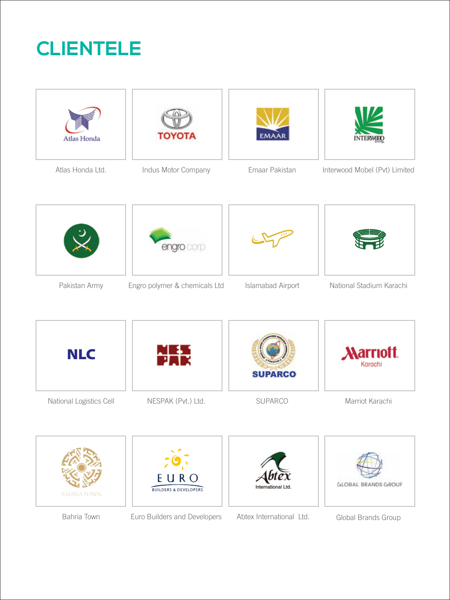## **CLIENTELE**

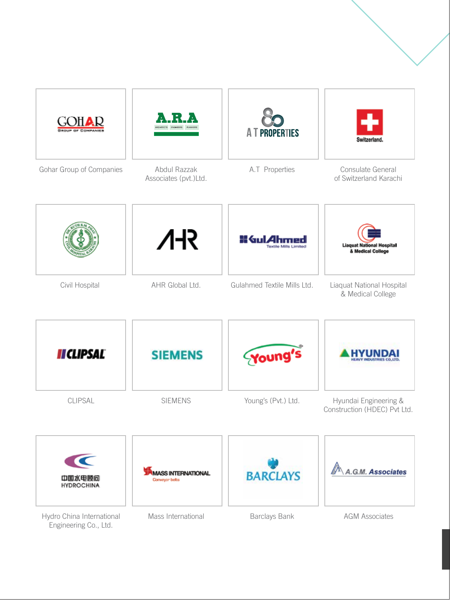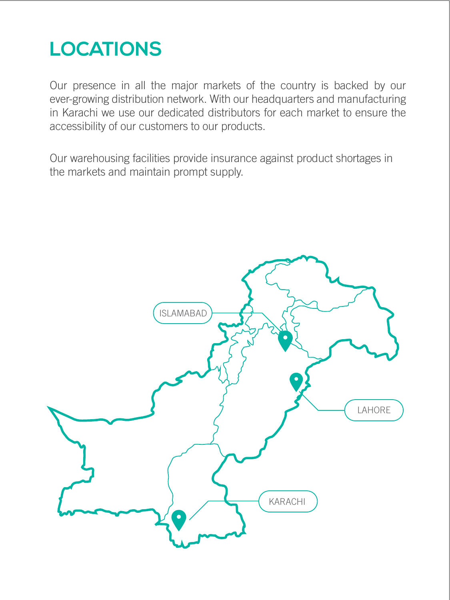## **LOCATIONS**

Our presence in all the major markets of the country is backed by our ever-growing distribution network. With our headquarters and manufacturing in Karachi we use our dedicated distributors for each market to ensure the accessibility of our customers to our products.

Our warehousing facilities provide insurance against product shortages in the markets and maintain prompt supply.

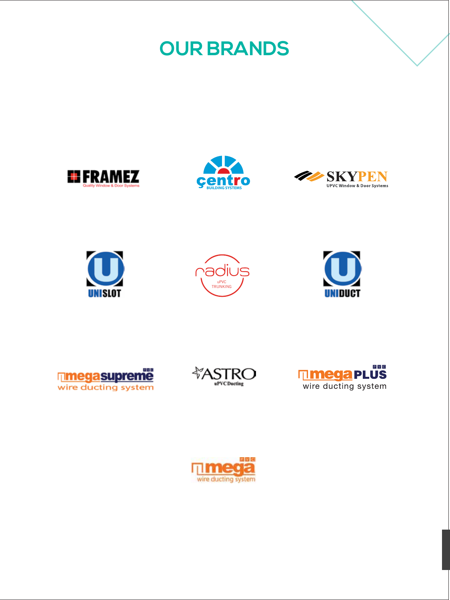**OUR BRANDS**